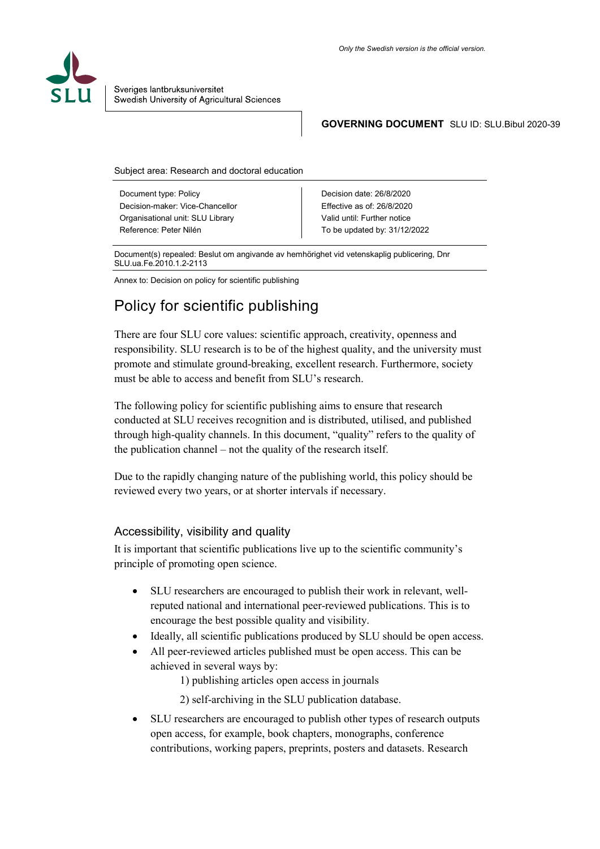

#### **GOVERNING DOCUMENT** SLU ID: SLU.Bibul 2020-39

Subject area: Research and doctoral education

Document type: Policy Decision-maker: Vice-Chancellor Organisational unit: SLU Library Reference: Peter Nilén

Decision date: 26/8/2020 Effective as of: 26/8/2020 Valid until: Further notice To be updated by: 31/12/2022

Document(s) repealed: Beslut om angivande av hemhörighet vid vetenskaplig publicering, Dnr SLU.ua.Fe.2010.1.2-2113

Annex to: Decision on policy for scientific publishing

# Policy for scientific publishing

There are four SLU core values: scientific approach, creativity, openness and responsibility. SLU research is to be of the highest quality, and the university must promote and stimulate ground-breaking, excellent research. Furthermore, society must be able to access and benefit from SLU's research.

The following policy for scientific publishing aims to ensure that research conducted at SLU receives recognition and is distributed, utilised, and published through high-quality channels. In this document, "quality" refers to the quality of the publication channel – not the quality of the research itself.

Due to the rapidly changing nature of the publishing world, this policy should be reviewed every two years, or at shorter intervals if necessary.

#### Accessibility, visibility and quality

It is important that scientific publications live up to the scientific community's principle of promoting open science.

- SLU researchers are encouraged to publish their work in relevant, wellreputed national and international peer-reviewed publications. This is to encourage the best possible quality and visibility.
- Ideally, all scientific publications produced by SLU should be open access.
- All peer-reviewed articles published must be open access. This can be achieved in several ways by:

1) publishing articles open access in journals

2) self-archiving in the SLU publication database.

• SLU researchers are encouraged to publish other types of research outputs open access, for example, book chapters, monographs, conference contributions, working papers, preprints, posters and datasets. Research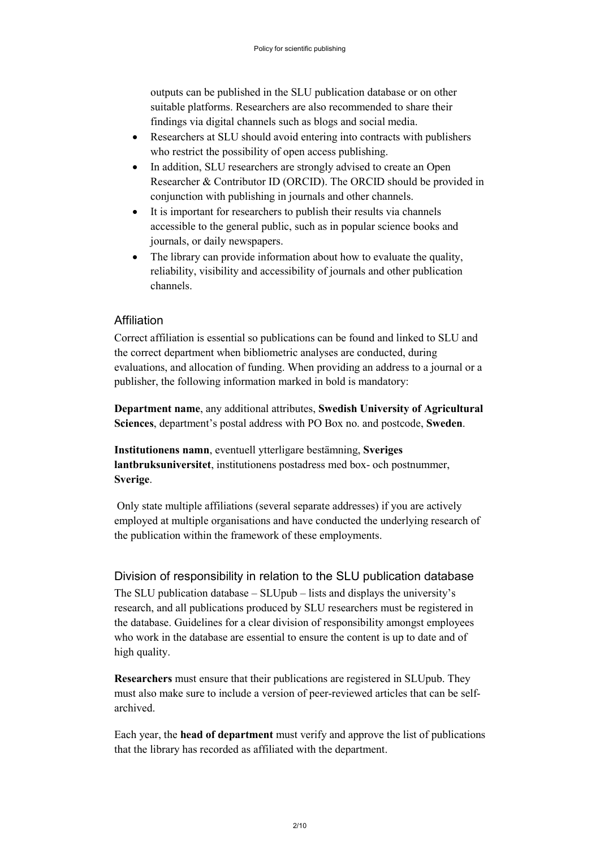outputs can be published in the SLU publication database or on other suitable platforms. Researchers are also recommended to share their findings via digital channels such as blogs and social media.

- Researchers at SLU should avoid entering into contracts with publishers who restrict the possibility of open access publishing.
- In addition, SLU researchers are strongly advised to create an Open Researcher & Contributor ID (ORCID). The ORCID should be provided in conjunction with publishing in journals and other channels.
- It is important for researchers to publish their results via channels accessible to the general public, such as in popular science books and journals, or daily newspapers.
- The library can provide information about how to evaluate the quality, reliability, visibility and accessibility of journals and other publication channels.

## Affiliation

Correct affiliation is essential so publications can be found and linked to SLU and the correct department when bibliometric analyses are conducted, during evaluations, and allocation of funding. When providing an address to a journal or a publisher, the following information marked in bold is mandatory:

**Department name**, any additional attributes, **Swedish University of Agricultural Sciences**, department's postal address with PO Box no. and postcode, **Sweden**.

**Institutionens namn**, eventuell ytterligare bestämning, **Sveriges lantbruksuniversitet**, institutionens postadress med box- och postnummer, **Sverige**.

Only state multiple affiliations (several separate addresses) if you are actively employed at multiple organisations and have conducted the underlying research of the publication within the framework of these employments.

# Division of responsibility in relation to the SLU publication database

The SLU publication database – SLUpub – lists and displays the university's research, and all publications produced by SLU researchers must be registered in the database. Guidelines for a clear division of responsibility amongst employees who work in the database are essential to ensure the content is up to date and of high quality.

**Researchers** must ensure that their publications are registered in SLUpub. They must also make sure to include a version of peer-reviewed articles that can be selfarchived.

Each year, the **head of department** must verify and approve the list of publications that the library has recorded as affiliated with the department.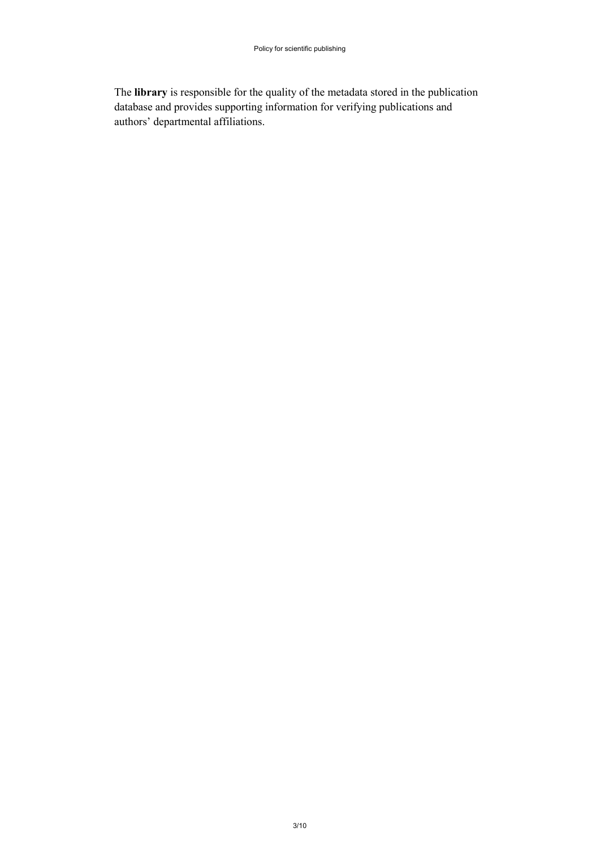The **library** is responsible for the quality of the metadata stored in the publication database and provides supporting information for verifying publications and authors' departmental affiliations.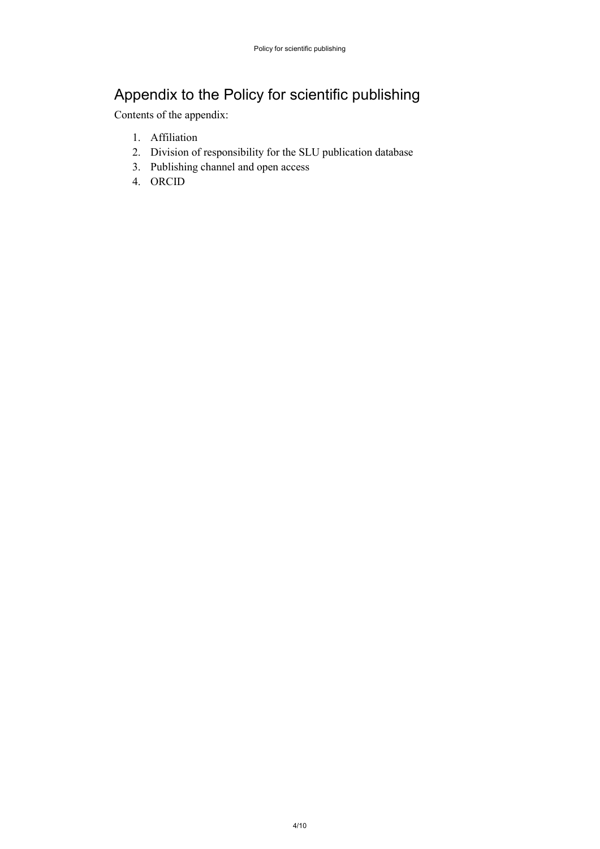# Appendix to the Policy for scientific publishing

Contents of the appendix:

- 1. Affiliation
- 2. Division of responsibility for the SLU publication database
- 3. Publishing channel and open access
- 4. ORCID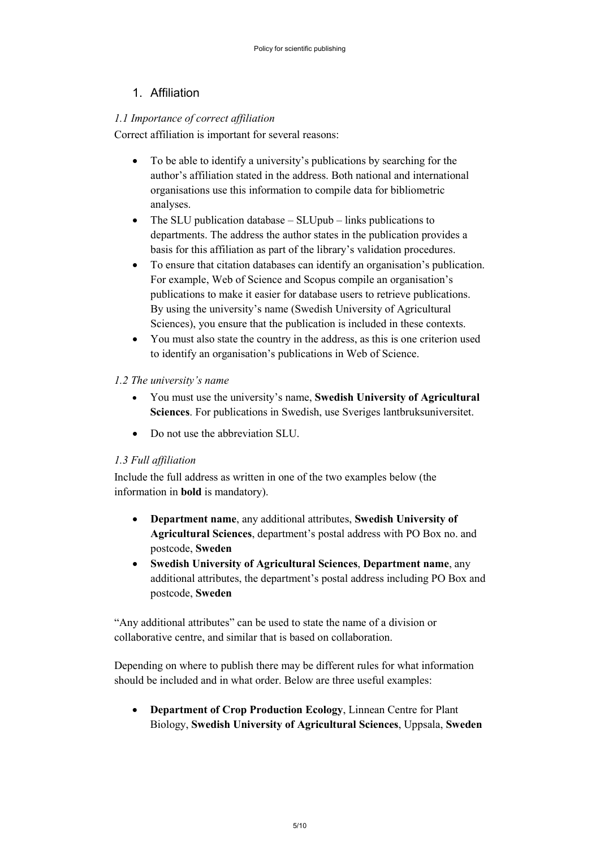# 1. Affiliation

## *1.1 Importance of correct affiliation*

Correct affiliation is important for several reasons:

- To be able to identify a university's publications by searching for the author's affiliation stated in the address. Both national and international organisations use this information to compile data for bibliometric analyses.
- The SLU publication database SLUpub links publications to departments. The address the author states in the publication provides a basis for this affiliation as part of the library's validation procedures.
- To ensure that citation databases can identify an organisation's publication. For example, Web of Science and Scopus compile an organisation's publications to make it easier for database users to retrieve publications. By using the university's name (Swedish University of Agricultural Sciences), you ensure that the publication is included in these contexts.
- You must also state the country in the address, as this is one criterion used to identify an organisation's publications in Web of Science.

# *1.2 The university's name*

- You must use the university's name, **Swedish University of Agricultural Sciences**. For publications in Swedish, use Sveriges lantbruksuniversitet.
- Do not use the abbreviation SLU.

# *1.3 Full affiliation*

Include the full address as written in one of the two examples below (the information in **bold** is mandatory).

- **Department name**, any additional attributes, **Swedish University of Agricultural Sciences**, department's postal address with PO Box no. and postcode, **Sweden**
- **Swedish University of Agricultural Sciences**, **Department name**, any additional attributes, the department's postal address including PO Box and postcode, **Sweden**

"Any additional attributes" can be used to state the name of a division or collaborative centre, and similar that is based on collaboration.

Depending on where to publish there may be different rules for what information should be included and in what order. Below are three useful examples:

• **Department of Crop Production Ecology**, Linnean Centre for Plant Biology, **Swedish University of Agricultural Sciences**, Uppsala, **Sweden**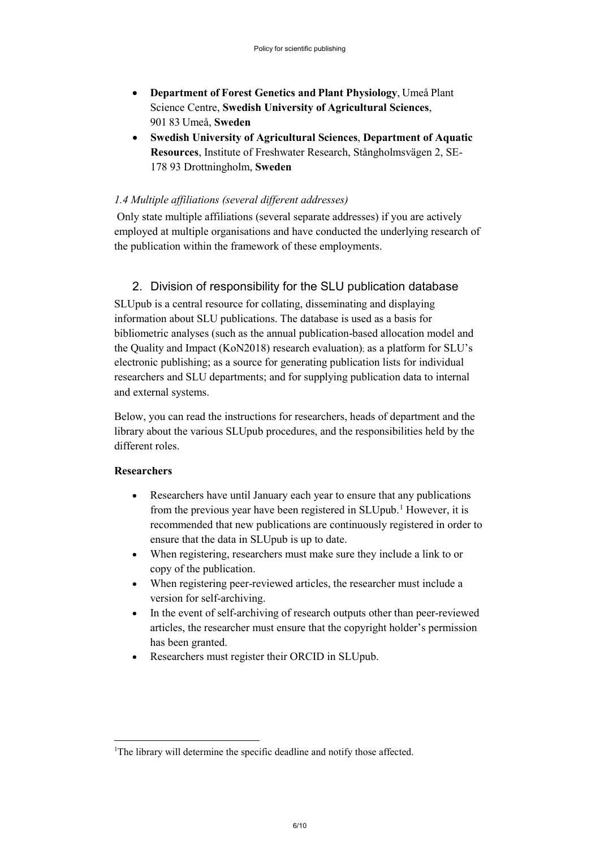- **Department of Forest Genetics and Plant Physiology**, Umeå Plant Science Centre, **Swedish University of Agricultural Sciences**, 901 83 Umeå, **Sweden**
- **Swedish University of Agricultural Sciences**, **Department of Aquatic Resources**, Institute of Freshwater Research, Stångholmsvägen 2, SE-178 93 Drottningholm, **Sweden**

## *1.4 Multiple affiliations (several different addresses)*

Only state multiple affiliations (several separate addresses) if you are actively employed at multiple organisations and have conducted the underlying research of the publication within the framework of these employments.

# 2. Division of responsibility for the SLU publication database

SLUpub is a central resource for collating, disseminating and displaying information about SLU publications. The database is used as a basis for bibliometric analyses (such as the annual publication-based allocation model and the Quality and Impact (KoN2018) research evaluation); as a platform for SLU's electronic publishing; as a source for generating publication lists for individual researchers and SLU departments; and for supplying publication data to internal and external systems.

Below, you can read the instructions for researchers, heads of department and the library about the various SLUpub procedures, and the responsibilities held by the different roles.

#### **Researchers**

- Researchers have until January each year to ensure that any publications from the previous year have been registered in SLUpub.<sup>[1](#page-5-0)</sup> However, it is recommended that new publications are continuously registered in order to ensure that the data in SLUpub is up to date.
- When registering, researchers must make sure they include a link to or copy of the publication.
- When registering peer-reviewed articles, the researcher must include a version for self-archiving.
- In the event of self-archiving of research outputs other than peer-reviewed articles, the researcher must ensure that the copyright holder's permission has been granted.
- Researchers must register their ORCID in SLUpub.

<span id="page-5-0"></span><sup>|&</sup>lt;br>|<br>| <sup>1</sup>The library will determine the specific deadline and notify those affected.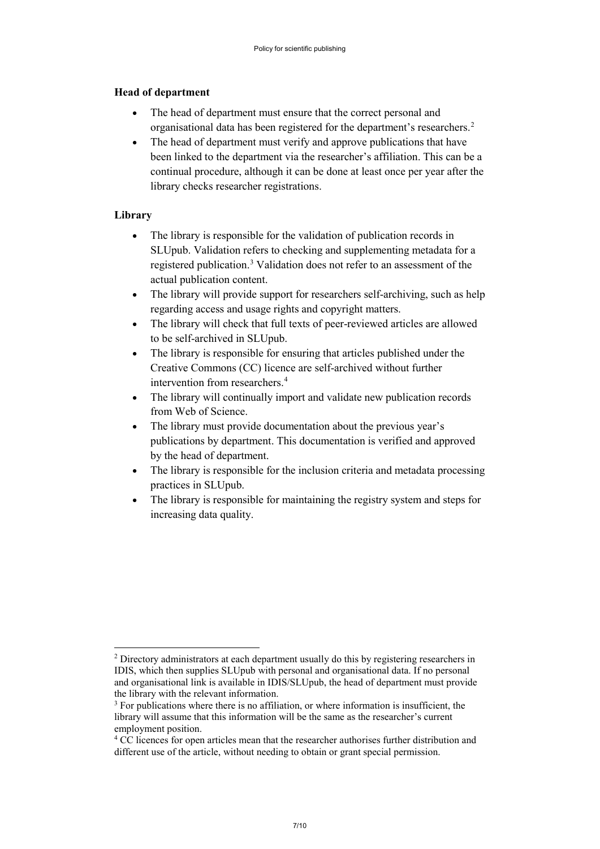#### **Head of department**

- The head of department must ensure that the correct personal and organisational data has been registered for the department's researchers.<sup>[2](#page-6-0)</sup>
- The head of department must verify and approve publications that have been linked to the department via the researcher's affiliation. This can be a continual procedure, although it can be done at least once per year after the library checks researcher registrations.

## **Library**

- The library is responsible for the validation of publication records in SLUpub. Validation refers to checking and supplementing metadata for a registered publication.[3](#page-6-1) Validation does not refer to an assessment of the actual publication content.
- The library will provide support for researchers self-archiving, such as help regarding access and usage rights and copyright matters.
- The library will check that full texts of peer-reviewed articles are allowed to be self-archived in SLUpub.
- The library is responsible for ensuring that articles published under the Creative Commons (CC) licence are self-archived without further intervention from researchers.[4](#page-6-2)
- The library will continually import and validate new publication records from Web of Science.
- The library must provide documentation about the previous year's publications by department. This documentation is verified and approved by the head of department.
- The library is responsible for the inclusion criteria and metadata processing practices in SLUpub.
- The library is responsible for maintaining the registry system and steps for increasing data quality.

<span id="page-6-0"></span><sup>&</sup>lt;sup>2</sup> Directory administrators at each department usually do this by registering researchers in IDIS, which then supplies SLUpub with personal and organisational data. If no personal and organisational link is available in IDIS/SLUpub, the head of department must provide the library with the relevant information.

<span id="page-6-1"></span> $3$  For publications where there is no affiliation, or where information is insufficient, the library will assume that this information will be the same as the researcher's current employment position.

<span id="page-6-2"></span><sup>&</sup>lt;sup>4</sup> CC licences for open articles mean that the researcher authorises further distribution and different use of the article, without needing to obtain or grant special permission.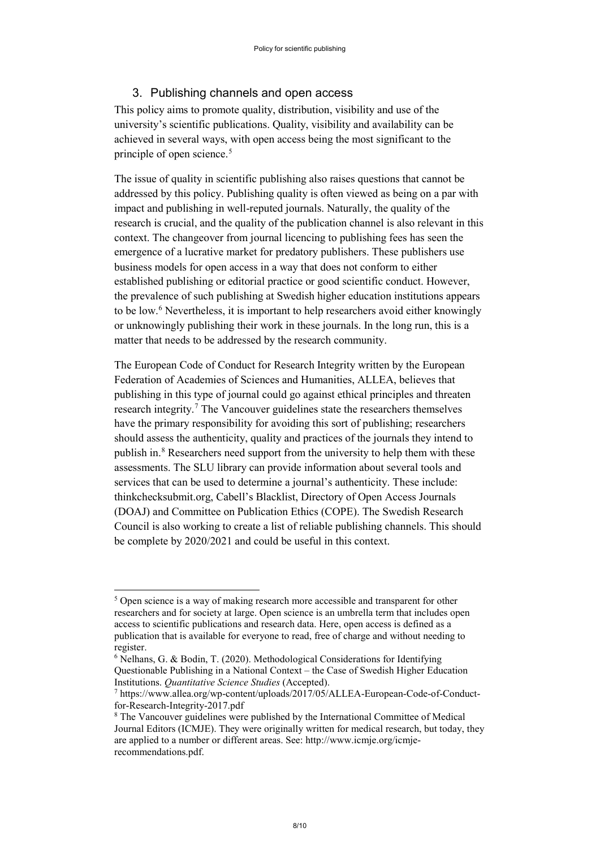#### 3. Publishing channels and open access

This policy aims to promote quality, distribution, visibility and use of the university's scientific publications. Quality, visibility and availability can be achieved in several ways, with open access being the most significant to the principle of open science.<sup>[5](#page-7-0)</sup>

The issue of quality in scientific publishing also raises questions that cannot be addressed by this policy. Publishing quality is often viewed as being on a par with impact and publishing in well-reputed journals. Naturally, the quality of the research is crucial, and the quality of the publication channel is also relevant in this context. The changeover from journal licencing to publishing fees has seen the emergence of a lucrative market for predatory publishers. These publishers use business models for open access in a way that does not conform to either established publishing or editorial practice or good scientific conduct. However, the prevalence of such publishing at Swedish higher education institutions appears to be low.[6](#page-7-1) Nevertheless, it is important to help researchers avoid either knowingly or unknowingly publishing their work in these journals. In the long run, this is a matter that needs to be addressed by the research community.

The European Code of Conduct for Research Integrity written by the European Federation of Academies of Sciences and Humanities, ALLEA, believes that publishing in this type of journal could go against ethical principles and threaten research integrity.<sup>[7](#page-7-2)</sup> The Vancouver guidelines state the researchers themselves have the primary responsibility for avoiding this sort of publishing; researchers should assess the authenticity, quality and practices of the journals they intend to publish in.[8](#page-7-3) Researchers need support from the university to help them with these assessments. The SLU library can provide information about several tools and services that can be used to determine a journal's authenticity. These include: thinkchecksubmit.org, Cabell's Blacklist, Directory of Open Access Journals (DOAJ) and Committee on Publication Ethics (COPE). The Swedish Research Council is also working to create a list of reliable publishing channels. This should be complete by 2020/2021 and could be useful in this context.

<span id="page-7-0"></span><sup>&</sup>lt;sup>5</sup> Open science is a way of making research more accessible and transparent for other researchers and for society at large. Open science is an umbrella term that includes open access to scientific publications and research data. Here, open access is defined as a publication that is available for everyone to read, free of charge and without needing to register.

<span id="page-7-1"></span><sup>6</sup> Nelhans, G. & Bodin, T. (2020). Methodological Considerations for Identifying Questionable Publishing in a National Context – the Case of Swedish Higher Education Institutions. *Quantitative Science Studies* (Accepted).

<span id="page-7-2"></span><sup>7</sup> https://www.allea.org/wp-content/uploads/2017/05/ALLEA-European-Code-of-Conductfor-Research-Integrity-2017.pdf

<span id="page-7-3"></span><sup>8</sup> The Vancouver guidelines were published by the International Committee of Medical Journal Editors (ICMJE). They were originally written for medical research, but today, they are applied to a number or different areas. See: http://www.icmje.org/icmjerecommendations.pdf.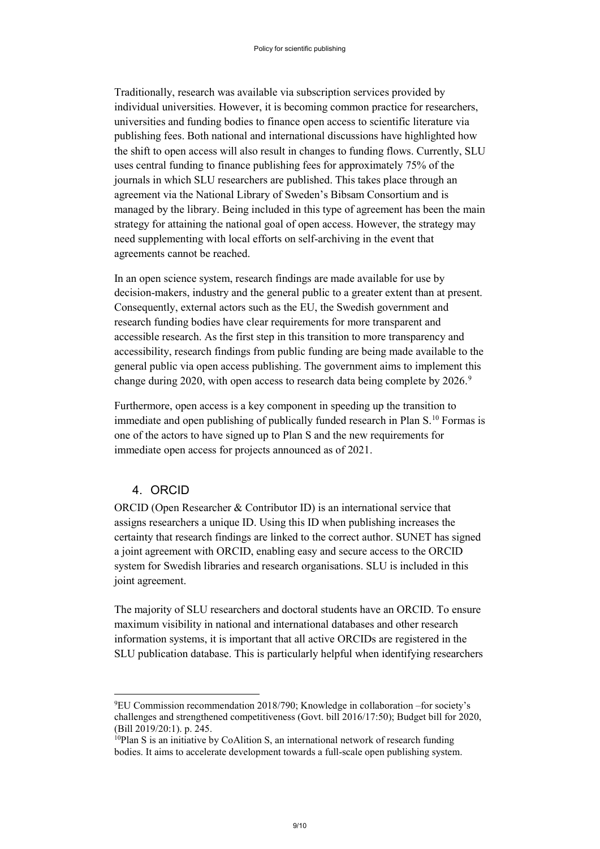Traditionally, research was available via subscription services provided by individual universities. However, it is becoming common practice for researchers, universities and funding bodies to finance open access to scientific literature via publishing fees. Both national and international discussions have highlighted how the shift to open access will also result in changes to funding flows. Currently, SLU uses central funding to finance publishing fees for approximately 75% of the journals in which SLU researchers are published. This takes place through an agreement via the National Library of Sweden's Bibsam Consortium and is managed by the library. Being included in this type of agreement has been the main strategy for attaining the national goal of open access. However, the strategy may need supplementing with local efforts on self-archiving in the event that agreements cannot be reached.

In an open science system, research findings are made available for use by decision-makers, industry and the general public to a greater extent than at present. Consequently, external actors such as the EU, the Swedish government and research funding bodies have clear requirements for more transparent and accessible research. As the first step in this transition to more transparency and accessibility, research findings from public funding are being made available to the general public via open access publishing. The government aims to implement this change during 2020, with open access to research data being complete by 2026.<sup>[9](#page-8-0)</sup>

Furthermore, open access is a key component in speeding up the transition to immediate and open publishing of publically funded research in Plan S.<sup>[10](#page-8-1)</sup> Formas is one of the actors to have signed up to Plan S and the new requirements for immediate open access for projects announced as of 2021.

#### 4. ORCID

ORCID (Open Researcher & Contributor ID) is an international service that assigns researchers a unique ID. Using this ID when publishing increases the certainty that research findings are linked to the correct author. SUNET has signed a joint agreement with ORCID, enabling easy and secure access to the ORCID system for Swedish libraries and research organisations. SLU is included in this joint agreement.

The majority of SLU researchers and doctoral students have an ORCID. To ensure maximum visibility in national and international databases and other research information systems, it is important that all active ORCIDs are registered in the SLU publication database. This is particularly helpful when identifying researchers

<span id="page-8-0"></span><sup>.&</sup>lt;br>9 EU Commission recommendation 2018/790; Knowledge in collaboration –for society's challenges and strengthened competitiveness (Govt. bill 2016/17:50); Budget bill for 2020, (Bill 2019/20:1). p. 245.

<span id="page-8-1"></span> $10P$ lan S is an initiative by CoAlition S, an international network of research funding bodies. It aims to accelerate development towards a full-scale open publishing system.